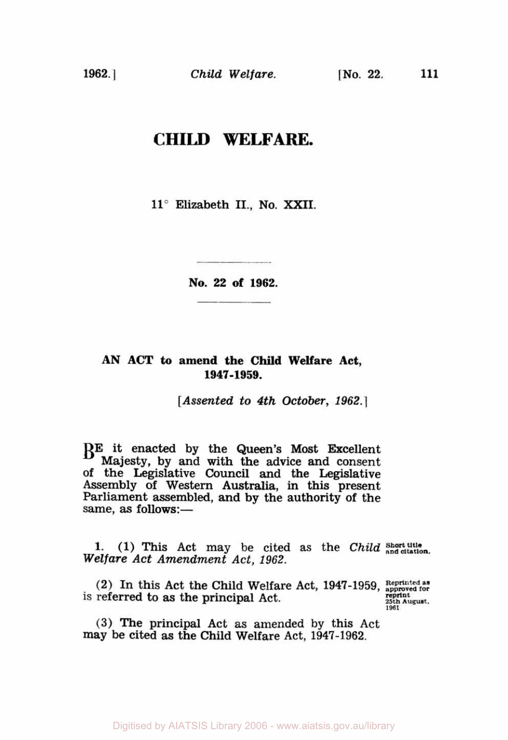## **CHILD WELFARE.**

**11°** Elizabeth **II., No.** XXII.

**No. 22 of 1962.** 

## **AN ACT** *to* **amend the Child Welfare Act, 1947-1959.**

*[Assented to 4th October, 1962.]* 

BE it enacted by the **Queen's** Most Excellent Majesty, by and with the advice and consent of the Legislative Council and the Legislative Assembly of Western Australia, in this present Parliament assembled, **and** by the authority of the same, as follows:-

1. (1) This Act may be cited as the *Child* **Short title** *Welfare Act Amendment Act, 1962.* 

**(2)** In this Act the Child Welfare Act, **1947-1959, Reprinted as approved for**  is referred to as the principal Act. **1961** *reprint* **1961** *Properties* 

(3) The principal Act as amended by this Act may be cited **as** the Child Welfare Act, **1947-1962.**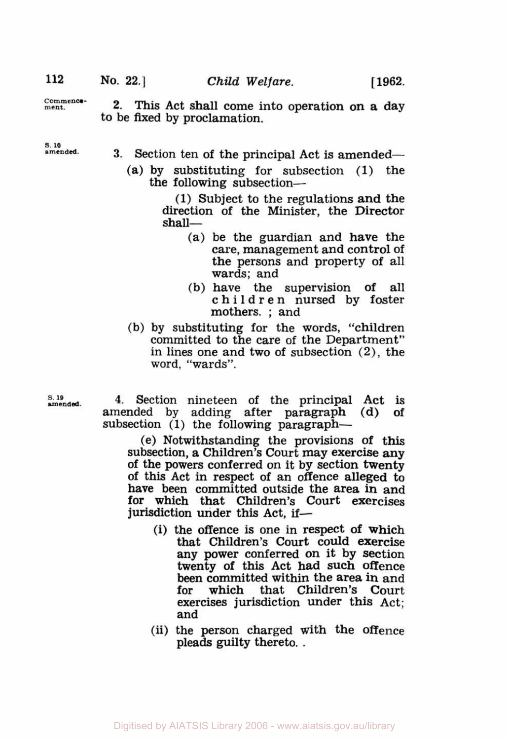**2. This** Act shall come into operation on a day **Commence - ment.**  to be fixed by proclamation.

*S.* **10** 

- **3.** Section ten of the principal Act is amended-
	- (a) by substituting for subsection (1) the the following subsection-

(1) Subject to the regulations and the direction of the Minister, the Director shall-

- (a) be the guardian and have the care, management and control of the persons and property of all wards; and
- (b) have the supervision of all children nursed by foster mothers. ; and
- (b) by substituting for the words, "children committed to the care of the Department" in lines one and two of subsection (2), the word, "wards".

**amended** *s.* **19 4.** Section nineteen of the principal Act is amended by adding after paragraph (d) of subsection (1) the following paragraph—

> (e) Notwithstanding the provisions of this subsection, a Children's Court may exercise any of this Act in respect of an offence alleged to have been committed outside the area in and for which that Children's Court exercises jurisdiction under this Act, **if-**

- (i) the offence is one in respect of which that Children's Court could exercise **any** power conferred on it by section twenty of this Act had such offence been committed within the area in and<br>for which that Children's Court for which that Children's Court exercises jurisdiction under this Act; and
- (ii) the person charged with the offence pleads guilty thereto. .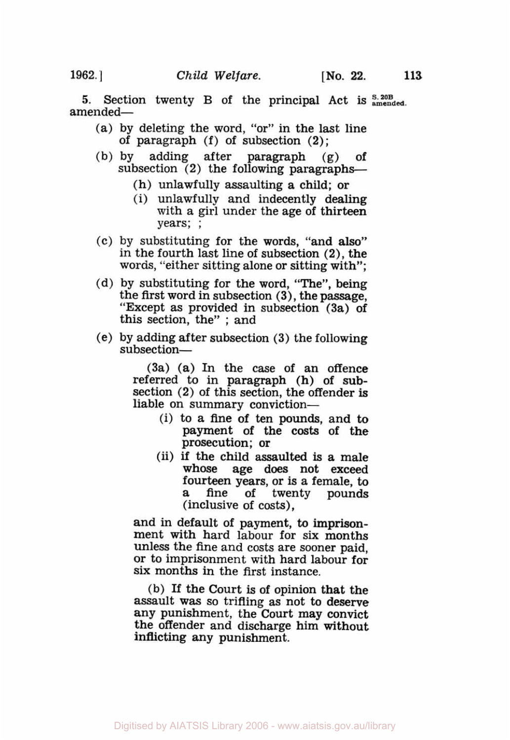- (a) by deleting the word, "or" in the last line of paragraph (f) of subsection (2);
- (b) by adding after paragraph **(g)** of subsection  $(2)$  the following paragraphs-
	- (h) unlawfully assaulting a child; or
	- (i) unlawfully and indecently dealing with a girl under the age of thirteen years; ;
- *(c)* by substituting for the words, "and also" in the fourth last line of subsection **(2),** the words, "either sitting alone or sitting with";
- (d) by substituting for the word, "The", being the first word in subsection **(3),** the passage, "Except as provided in subsection (3a) **of**  this section, the" ; and
- (e) by adding after subsection **(3)** the following subsection-

(3a) (a) In the case of an offence referred to in paragraph (h) **of sub**section (2) of this section, the offender is liable on summary conviction-

- (i) to a fine of ten **pounds,** and to payment **of** the **costs** of the prosecution; or
- (ii) if the child assaulted is a male whose age does not exceed fourteen years, or is a female, to a fine of twenty pounds (inclusive of costs),

and in default of payment, to **imprison**ment with hard labour for **six** months unless the fine and costs are sooner paid, or to imprisonment with hard labour for six months in the first instance.

(b) If the Court is of opinion that the assault **was** so trifling as not to deserve any punishment, the Court may convict the offender and discharge him without inflicting any punishment.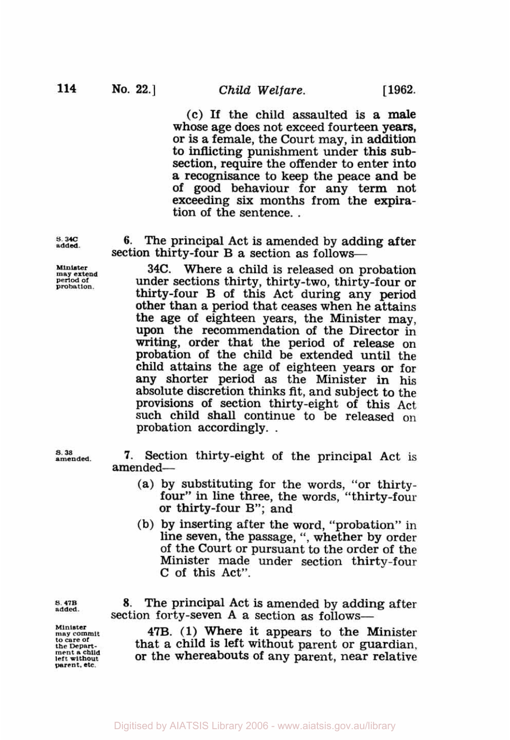(c) If the child assaulted is a male whose age does not exceed fourteen years, or is a female, the Court may, in addition to inflicting punishment under this subsection, require the offender to enter into a recognisance to keep the peace and be of good behaviour for any term not exceeding six months from the expira- tion of the sentence. .

**6.** The principal Act is amended by adding after section thirty-four **B** a section as follows-

**34C.** Where a child is released on probation under sections thirty, thirty-two, thirty-four or thirty-four B of this Act during any period other than a period that ceases when he attains the age of eighteen years, the Minister may, upon the recommendation of the Director in writing, order that the period of release on probation of the child be extended until the child attains the age of eighteen years or for any shorter period as the Minister in his absolute discretion thinks fit, and subject to the provisions of section thirty-eight of this Act such child shall continue to be released on probation accordingly. .

**7.** Section thirty-eight of the principal Act is amended-

- (a) by substituting for the words, "or thirty- four" in line three, the words, "thirty-four or thirty-four B"; and
- (b) by inserting after the word, "probation" in line seven, the passage, ", whether by order of the Court or pursuant to the order of the Minister made under section thirty-four C of this Act".

**s.47B added.** 

**Minister may commit to care of the Department a child left without**  parent, etc.

8. The principal Act is amended by adding after section forty-seven A a section as follows-

**47B. (1)** Where it appears to the Minister that a child is left without parent or guardian, or the whereabouts of any parent, near relative

*S.* **34c added.** 

**Minister may extend period of probation** 

*S.* **38 amended.**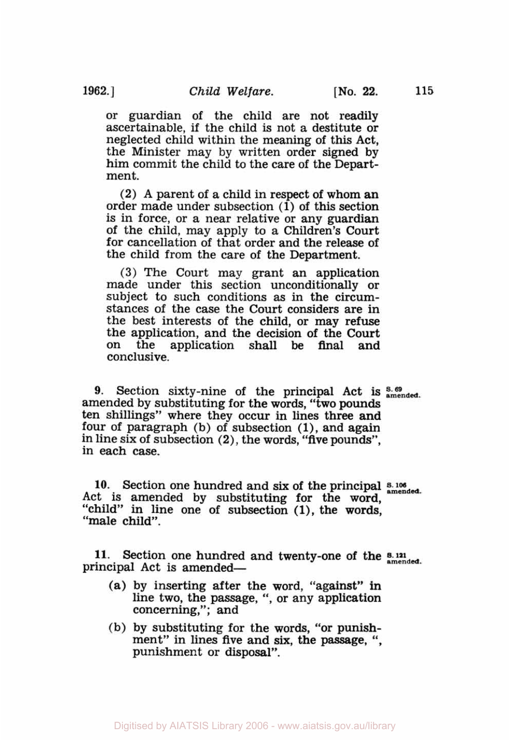or guardian of the child are not readily ascertainable, if the child is not a destitute or

neglected child within the meaning of this Act, the Minister may by written order signed by him commit the child to the care of the Department.

(2) A parent of a child in respect of whom an order made under subsection (1) of this section is in force, or a near relative or any guardian of the child, may apply to a Children's Court for cancellation of that order and the release of the child from the care of the Department.

(3) The Court may grant an application made under this section unconditionally or subject to such conditions as in the circumstances of the case the Court considers are in the best interests of the child, or may refuse the application, and the decision of the Court on the application shall be **final** and conclusive.

**9.** Section sixty-nine of the principal Act is  $\frac{8.69}{\text{amended}}$ . amended by substituting for the words, "two pounds ten shillings" where they occur in lines three and four of paragraph (b) of subsection (1), and again in line six of subsection **(2),** the words, "five pounds", in each case.

10. Section one hundred and six of the principal  $\frac{8.106}{\text{amended.}}$ Act is amended by substituting for the word, "child" in line one of subsection **(l),** the words, "male child".

**11.** Section one hundred and twenty-one of the **s. 121 amended**  principal Act is amended-

- (a) by inserting after the word, "against" **in**  line two, the passage, ", or any application concerning,"; and
- (b) by substituting for the words, "or punish- ment" in lines five and six, the passage, ", punishment or disposal".

Digitised by AIATSIS Library 2006 - www.aiatsis.gov.au/library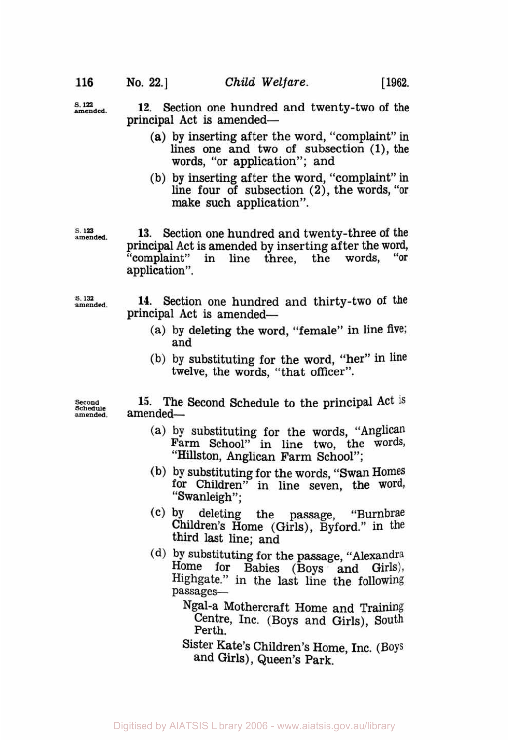s. 122 **amended.** 

**12.** Section one hundred and twenty-two of the principal Act is amended-

- (a) by inserting after the word, "complaint" in lines one and two **of** subsection (l), the words, "or application"; and
- (b) by inserting after the word, "complaint" in line four of subsection **(2),** the words, "or make such application".

*s.* **123 amended.** 

**13.** Section one hundred and twenty-three of the principal Act is amended by inserting after the word,<br>"complaint" in line three, the words, "or in line three, application".

**s.132 amended.** 

**14.** Section one hundred and thirty-two of the principal Act is amended-

- (a) by deleting the word, "female" in line five; and
- **(b)** by substituting for the word, "her" in line twelve, the words, "that officer".

**Second Schedule amended.** 

**15.** The Second Schedule to the principal Act is amended-

- (a) by substituting for the words, ''Anglican Farm School" in line two, the words, "Hillston, Anglican Farm School";
- (b) by substituting for the words, "Swan Homes for Children" in line seven, the word, "Swanleigh";
- (C) by deleting the passage, "Burnbrae Children's Home (Girls), Byford." in the third last line; and
- (d) by substituting for the passage, "Alexandra Home for Babies (Boys and Girls), Highgate." in the last line the following passages-

Ngal-a Mothercraft Home and Training Centre, Inc. (Boys and Girls), South Perth.

Sister Kate's Children's Home, Inc. (Boys and Girls), Queen's Park.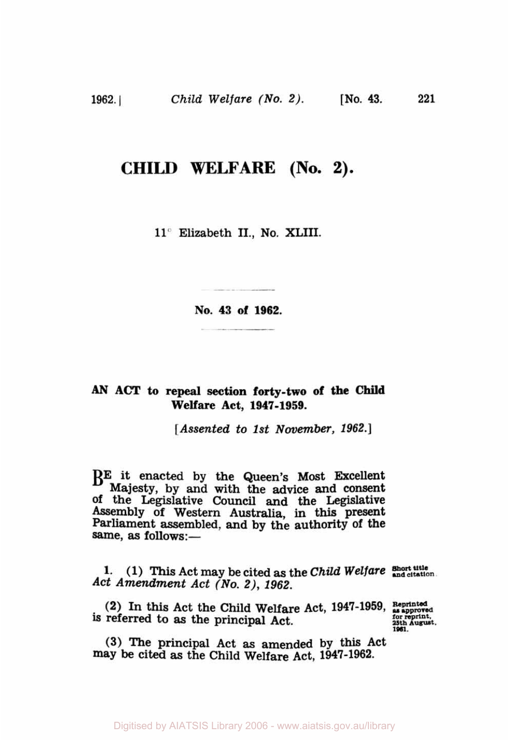## **CHILD WELFARE (No. 2).**

**11"** Elizabeth II., **No, XLIII.** 

**No. 43 of 1962.** 

## *AN* **ACT to repeal section forty-two of the Child Welfare Act, 1947-1959.**

*[Assented to 1st November, 1962.]* 

**BE** it enacted by the Queen's Most Excellent Majesty, by and with the advice and consent Of the Legislative Council **and** the Legislative Assembly of Western Australia, in this present Parliament assembled, **and** by the authority **Of** the Parliament assembled, and by the authority of the same, as follows:-

**1.** (1) This Act may be cited as the *Child Welfare* **Short title** *Act Amendment Act (No. 2), 1962.* 

**(2)** In *this* Act the Child Welfare Act, **1947-1959,** reprinted as approved **is referred to as the principal Act.** 25th August. 25th August.

**(3)** The principal Act **as** amended **by** this Act may be cited **as** the Child Welfare Act, **1947-1962.** 

Digitised by AIATSIS Library 2006 - www.aiatsis.gov.au/library